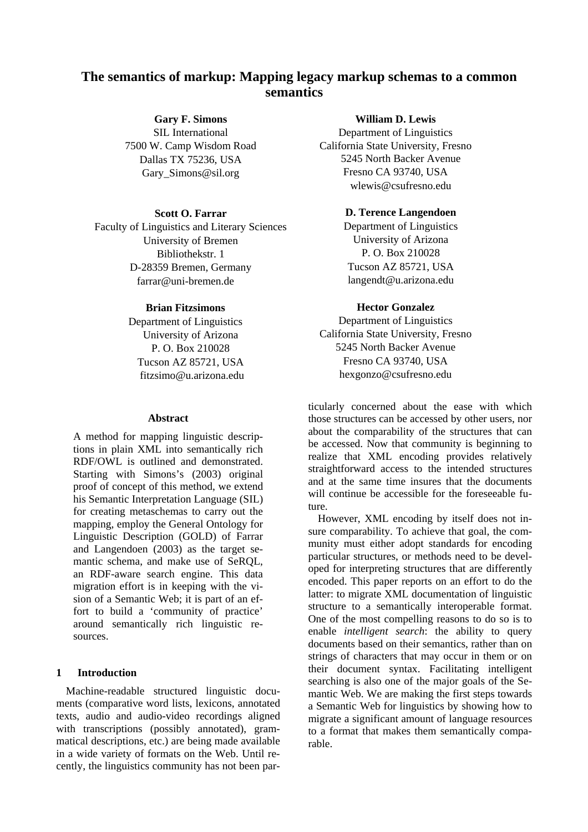# **The semantics of markup: Mapping legacy markup schemas to a common semantics**

**Gary F. Simons**  SIL International 7500 W. Camp Wisdom Road Dallas TX 75236, USA Gary\_Simons@sil.org

#### **Scott O. Farrar**

Faculty of Linguistics and Literary Sciences University of Bremen Bibliothekstr. 1 D-28359 Bremen, Germany farrar@uni-bremen.de

#### **Brian Fitzsimons**

Department of Linguistics University of Arizona P. O. Box 210028 Tucson AZ 85721, USA fitzsimo@u.arizona.edu

#### **Abstract**

A method for mapping linguistic descriptions in plain XML into semantically rich RDF/OWL is outlined and demonstrated. Starting with Simons's (2003) original proof of concept of this method, we extend his Semantic Interpretation Language (SIL) for creating metaschemas to carry out the mapping, employ the General Ontology for Linguistic Description (GOLD) of Farrar and Langendoen (2003) as the target semantic schema, and make use of SeRQL, an RDF-aware search engine. This data migration effort is in keeping with the vision of a Semantic Web; it is part of an effort to build a 'community of practice' around semantically rich linguistic resources.

#### <span id="page-0-0"></span>**1 Introduction**

Machine-readable structured linguistic documents (comparative word lists, lexicons, annotated texts, audio and audio-video recordings aligned with transcriptions (possibly annotated), grammatical descriptions, etc.) are being made available in a wide variety of formats on the Web. Until recently, the linguistics community has not been par-

#### **William D. Lewis**

Department of Linguistics California State University, Fresno 5245 North Backer Avenue Fresno CA 93740, USA wlewis@csufresno.edu

### **D. Terence Langendoen**

Department of Linguistics University of Arizona P. O. Box 210028 Tucson AZ 85721, USA langendt@u.arizona.edu

#### **Hector Gonzalez**

Department of Linguistics California State University, Fresno 5245 North Backer Avenue Fresno CA 93740, USA hexgonzo@csufresno.edu

ticularly concerned about the ease with which those structures can be accessed by other users, nor about the comparability of the structures that can be accessed. Now that community is beginning to realize that XML encoding provides relatively straightforward access to the intended structures and at the same time insures that the documents will continue be accessible for the foreseeable future.

However, XML encoding by itself does not insure comparability. To achieve that goal, the community must either adopt standards for encoding particular structures, or methods need to be developed for interpreting structures that are differently encoded. This paper reports on an effort to do the latter: to migrate XML documentation of linguistic structure to a semantically interoperable format. One of the most compelling reasons to do so is to enable *intelligent search*: the ability to query documents based on their semantics, rather than on strings of characters that may occur in them or on their document syntax. Facilitating intelligent searching is also one of the major goals of the Semantic Web. We are making the first steps towards a Semantic Web for linguistics by showing how to migrate a significant amount of language resources to a format that makes them semantically comparable.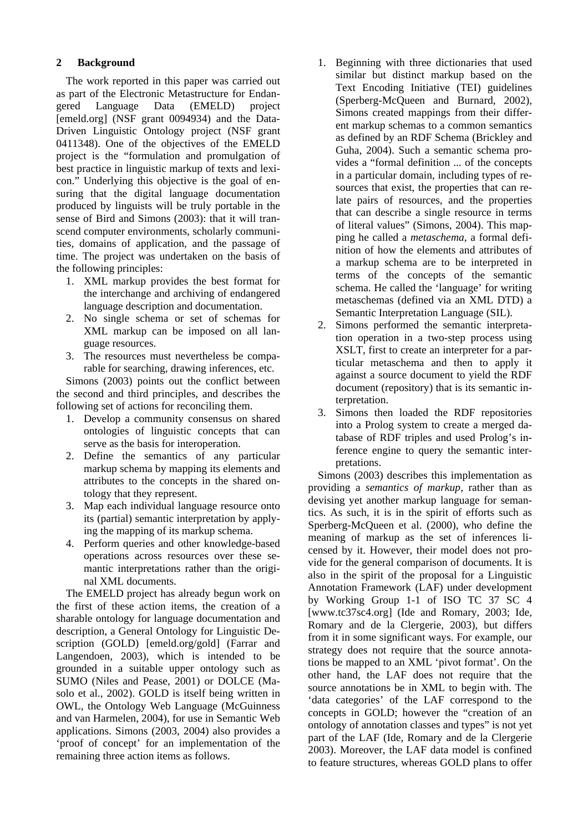### **2 Background**

The work reported in this paper was carried out as part of the Electronic Metastructure for Endangered Language Data (EMELD) project [\[emeld.org\]](http://emeld.org/) (NSF grant 0094934) and the Data-Driven Linguistic Ontology project (NSF grant 0411348). One of the objectives of the EMELD project is the "formulation and promulgation of best practice in linguistic markup of texts and lexicon." Underlying this objective is the goal of ensuring that the digital language documentation produced by linguists will be truly portable in the sense of Bird and Simons (2003): that it will transcend computer environments, scholarly communities, domains of application, and the passage of time. The project was undertaken on the basis of the following principles:

- 1. XML markup provides the best format for the interchange and archiving of endangered language description and documentation.
- 2. No single schema or set of schemas for XML markup can be imposed on all language resources.
- 3. The resources must nevertheless be comparable for searching, drawing inferences, etc.

Simons (2003) points out the conflict between the second and third principles, and describes the following set of actions for reconciling them.

- 1. Develop a community consensus on shared ontologies of linguistic concepts that can serve as the basis for interoperation.
- 2. Define the semantics of any particular markup schema by mapping its elements and attributes to the concepts in the shared ontology that they represent.
- 3. Map each individual language resource onto its (partial) semantic interpretation by applying the mapping of its markup schema.
- 4. Perform queries and other knowledge-based operations across resources over these semantic interpretations rather than the original XML documents.

The EMELD project has already begun work on the first of these action items, the creation of a sharable ontology for language documentation and description, a General Ontology for Linguistic Description (GOLD) [[emeld.org/gold\]](http://emeld.org/gold) (Farrar and Langendoen, 2003), which is intended to be grounded in a suitable upper ontology such as SUMO (Niles and Pease, 2001) or DOLCE (Masolo et al., 2002). GOLD is itself being written in OWL, the Ontology Web Language (McGuinness and van Harmelen, 2004), for use in Semantic Web applications. Simons (2003, 2004) also provides a 'proof of concept' for an implementation of the remaining three action items as follows.

- 1. Beginning with three dictionaries that used similar but distinct markup based on the Text Encoding Initiative (TEI) guidelines (Sperberg-McQueen and Burnard, 2002), Simons created mappings from their different markup schemas to a common semantics as defined by an RDF Schema (Brickley and Guha, 2004). Such a semantic schema provides a "formal definition ... of the concepts in a particular domain, including types of resources that exist, the properties that can relate pairs of resources, and the properties that can describe a single resource in terms of literal values" (Simons, 2004). This mapping he called a *metaschema*, a formal definition of how the elements and attributes of a markup schema are to be interpreted in terms of the concepts of the semantic schema. He called the 'language' for writing metaschemas (defined via an XML DTD) a Semantic Interpretation Language (SIL).
- 2. Simons performed the semantic interpretation operation in a two-step process using XSLT, first to create an interpreter for a particular metaschema and then to apply it against a source document to yield the RDF document (repository) that is its semantic interpretation.
- 3. Simons then loaded the RDF repositories into a Prolog system to create a merged database of RDF triples and used Prolog's inference engine to query the semantic interpretations.

Simons (2003) describes this implementation as providing a *semantics of markup*, rather than as devising yet another markup language for semantics. As such, it is in the spirit of efforts such as Sperberg-McQueen et al. (2000), who define the meaning of markup as the set of inferences licensed by it. However, their model does not provide for the general comparison of documents. It is also in the spirit of the proposal for a Linguistic Annotation Framework (LAF) under development by Working Group 1-1 of ISO TC 37 SC 4 [\[www.tc37sc4.org](http://www.tc37sc4.org/)] (Ide and Romary, 2003; Ide, Romary and de la Clergerie, 2003), but differs from it in some significant ways. For example, our strategy does not require that the source annotations be mapped to an XML 'pivot format'. On the other hand, the LAF does not require that the source annotations be in XML to begin with. The 'data categories' of the LAF correspond to the concepts in GOLD; however the "creation of an ontology of annotation classes and types" is not yet part of the LAF (Ide, Romary and de la Clergerie 2003). Moreover, the LAF data model is confined to feature structures, whereas GOLD plans to offer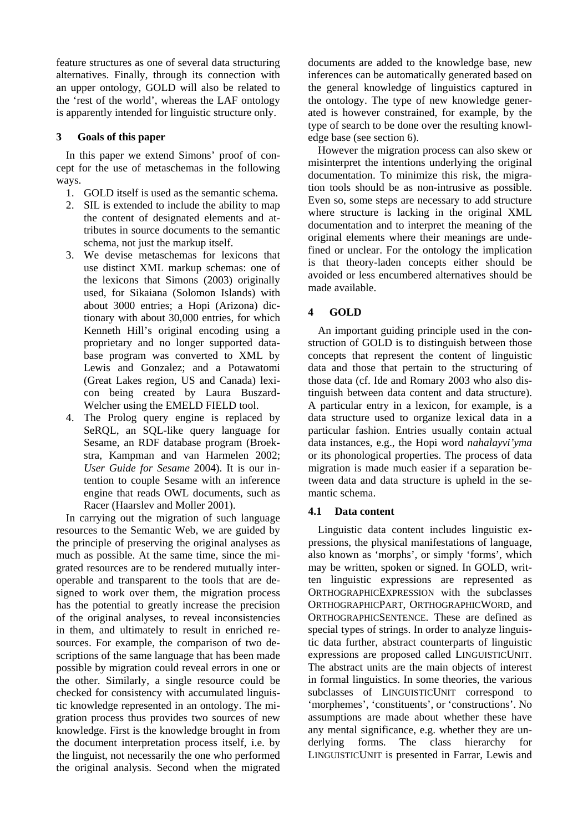feature structures as one of several data structuring alternatives. Finally, through its connection with an upper ontology, GOLD will also be related to the 'rest of the world', whereas the LAF ontology is apparently intended for linguistic structure only.

### <span id="page-2-0"></span>**3 Goals of this paper**

In this paper we extend Simons' proof of concept for the use of metaschemas in the following ways.

- 1. GOLD itself is used as the semantic schema.
- 2. SIL is extended to include the ability to map the content of designated elements and attributes in source documents to the semantic schema, not just the markup itself.
- 3. We devise metaschemas for lexicons that use distinct XML markup schemas: one of the lexicons that Simons (2003) originally used, for Sikaiana (Solomon Islands) with about 3000 entries; a Hopi (Arizona) dictionary with about 30,000 entries, for which Kenneth Hill's original encoding using a proprietary and no longer supported database program was converted to XML by Lewis and Gonzalez; and a Potawatomi (Great Lakes region, US and Canada) lexicon being created by Laura Buszard-Welcher using the EMELD FIELD tool.
- <span id="page-2-1"></span>4. The Prolog query engine is replaced by SeRQL, an SQL-like query language for Sesame, an RDF database program (Broekstra, Kampman and van Harmelen 2002; *User Guide for Sesame* 2004). It is our intention to couple Sesame with an inference engine that reads OWL documents, such as Racer (Haarslev and Moller 2001).

In carrying out the migration of such language resources to the Semantic Web, we are guided by the principle of preserving the original analyses as much as possible. At the same time, since the migrated resources are to be rendered mutually interoperable and transparent to the tools that are designed to work over them, the migration process has the potential to greatly increase the precision of the original analyses, to reveal inconsistencies in them, and ultimately to result in enriched resources. For example, the comparison of two descriptions of the same language that has been made possible by migration could reveal errors in one or the other. Similarly, a single resource could be checked for consistency with accumulated linguistic knowledge represented in an ontology. The migration process thus provides two sources of new knowledge. First is the knowledge brought in from the document interpretation process itself, i.e. by the linguist, not necessarily the one who performed the original analysis. Second when the migrated

documents are added to the knowledge base, new inferences can be automatically generated based on the general knowledge of linguistics captured in the ontology. The type of new knowledge generated is however constrained, for example, by the type of search to be done over the resulting knowledge base (see section [6\)](#page-5-0).

However the migration process can also skew or misinterpret the intentions underlying the original documentation. To minimize this risk, the migration tools should be as non-intrusive as possible. Even so, some steps are necessary to add structure where structure is lacking in the original XML documentation and to interpret the meaning of the original elements where their meanings are undefined or unclear. For the ontology the implication is that theory-laden concepts either should be avoided or less encumbered alternatives should be made available.

# **4 GOLD**

An important guiding principle used in the construction of GOLD is to distinguish between those concepts that represent the content of linguistic data and those that pertain to the structuring of those data (cf. Ide and Romary 2003 who also distinguish between data content and data structure). A particular entry in a lexicon, for example, is a data structure used to organize lexical data in a particular fashion. Entries usually contain actual data instances, e.g., the Hopi word *nahalayvi'yma* or its phonological properties. The process of data migration is made much easier if a separation between data and data structure is upheld in the semantic schema.

## **4.1 Data content**

Linguistic data content includes linguistic expressions, the physical manifestations of language, also known as 'morphs', or simply 'forms', which may be written, spoken or signed. In GOLD, written linguistic expressions are represented as ORTHOGRAPHICEXPRESSION with the subclasses ORTHOGRAPHICPART, ORTHOGRAPHICWORD, and ORTHOGRAPHICSENTENCE. These are defined as special types of strings. In order to analyze linguistic data further, abstract counterparts of linguistic expressions are proposed called LINGUISTICUNIT. The abstract units are the main objects of interest in formal linguistics. In some theories, the various subclasses of LINGUISTICUNIT correspond to 'morphemes', 'constituents', or 'constructions'. No assumptions are made about whether these have any mental significance, e.g. whether they are underlying forms. The class hierarchy for LINGUISTICUNIT is presented in Farrar, Lewis and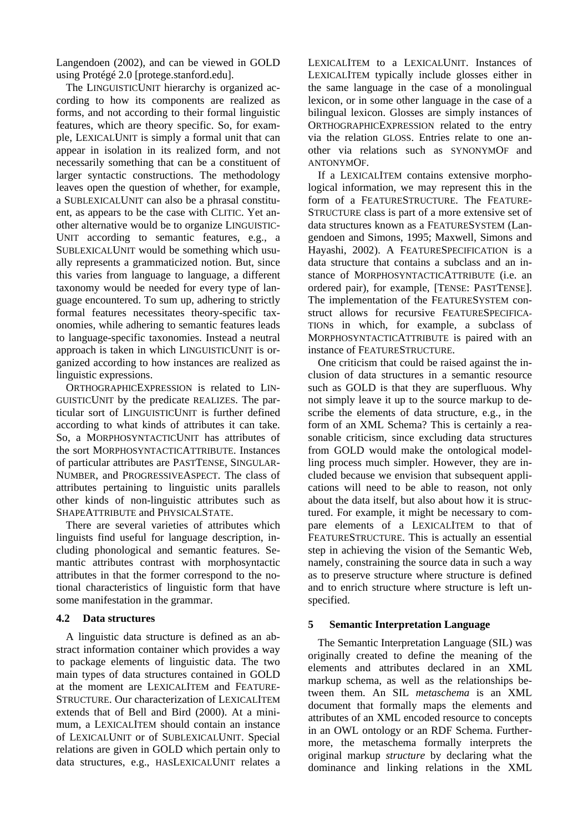Langendoen (2002), and can be viewed in GOLD using Protégé 2.0 [\[protege.stanford.edu](http://protege.stanford.edu/)].

The LINGUISTICUNIT hierarchy is organized according to how its components are realized as forms, and not according to their formal linguistic features, which are theory specific. So, for example, LEXICALUNIT is simply a formal unit that can appear in isolation in its realized form, and not necessarily something that can be a constituent of larger syntactic constructions. The methodology leaves open the question of whether, for example, a SUBLEXICALUNIT can also be a phrasal constituent, as appears to be the case with CLITIC. Yet another alternative would be to organize LINGUISTIC-UNIT according to semantic features, e.g., a SUBLEXICALUNIT would be something which usually represents a grammaticized notion. But, since this varies from language to language, a different taxonomy would be needed for every type of language encountered. To sum up, adhering to strictly formal features necessitates theory-specific taxonomies, while adhering to semantic features leads to language-specific taxonomies. Instead a neutral approach is taken in which LINGUISTICUNIT is organized according to how instances are realized as linguistic expressions.

ORTHOGRAPHICEXPRESSION is related to LIN-GUISTICUNIT by the predicate REALIZES. The particular sort of LINGUISTICUNIT is further defined according to what kinds of attributes it can take. So, a MORPHOSYNTACTICUNIT has attributes of the sort MORPHOSYNTACTICATTRIBUTE. Instances of particular attributes are PASTTENSE, SINGULAR-NUMBER, and PROGRESSIVEASPECT. The class of attributes pertaining to linguistic units parallels other kinds of non-linguistic attributes such as SHAPEATTRIBUTE and PHYSICALSTATE.

There are several varieties of attributes which linguists find useful for language description, including phonological and semantic features. Semantic attributes contrast with morphosyntactic attributes in that the former correspond to the notional characteristics of linguistic form that have some manifestation in the grammar.

#### **4.2 Data structures**

A linguistic data structure is defined as an abstract information container which provides a way to package elements of linguistic data. The two main types of data structures contained in GOLD at the moment are LEXICALITEM and FEATURE-STRUCTURE. Our characterization of LEXICALITEM extends that of Bell and Bird (2000). At a minimum, a LEXICALITEM should contain an instance of LEXICALUNIT or of SUBLEXICALUNIT. Special relations are given in GOLD which pertain only to data structures, e.g., HASLEXICALUNIT relates a LEXICALITEM to a LEXICALUNIT. Instances of LEXICALITEM typically include glosses either in the same language in the case of a monolingual lexicon, or in some other language in the case of a bilingual lexicon. Glosses are simply instances of ORTHOGRAPHICEXPRESSION related to the entry via the relation GLOSS. Entries relate to one another via relations such as SYNONYMOF and ANTONYMOF.

If a LEXICALITEM contains extensive morphological information, we may represent this in the form of a FEATURESTRUCTURE. The FEATURE-STRUCTURE class is part of a more extensive set of data structures known as a FEATURESYSTEM (Langendoen and Simons, 1995; Maxwell, Simons and Hayashi, 2002). A FEATURESPECIFICATION is a data structure that contains a subclass and an instance of MORPHOSYNTACTICATTRIBUTE (i.e. an ordered pair), for example, [TENSE: PASTTENSE]. The implementation of the FEATURESYSTEM construct allows for recursive FEATURESPECIFICA-TIONs in which, for example, a subclass of MORPHOSYNTACTICATTRIBUTE is paired with an instance of FEATURESTRUCTURE.

One criticism that could be raised against the inclusion of data structures in a semantic resource such as GOLD is that they are superfluous. Why not simply leave it up to the source markup to describe the elements of data structure, e.g., in the form of an XML Schema? This is certainly a reasonable criticism, since excluding data structures from GOLD would make the ontological modelling process much simpler. However, they are included because we envision that subsequent applications will need to be able to reason, not only about the data itself, but also about how it is structured. For example, it might be necessary to compare elements of a LEXICALITEM to that of FEATURESTRUCTURE. This is actually an essential step in achieving the vision of the Semantic Web, namely, constraining the source data in such a way as to preserve structure where structure is defined and to enrich structure where structure is left unspecified.

#### **5 Semantic Interpretation Language**

The Semantic Interpretation Language (SIL) was originally created to define the meaning of the elements and attributes declared in an XML markup schema, as well as the relationships between them. An SIL *metaschema* is an XML document that formally maps the elements and attributes of an XML encoded resource to concepts in an OWL ontology or an RDF Schema. Furthermore, the metaschema formally interprets the original markup *structure* by declaring what the dominance and linking relations in the XML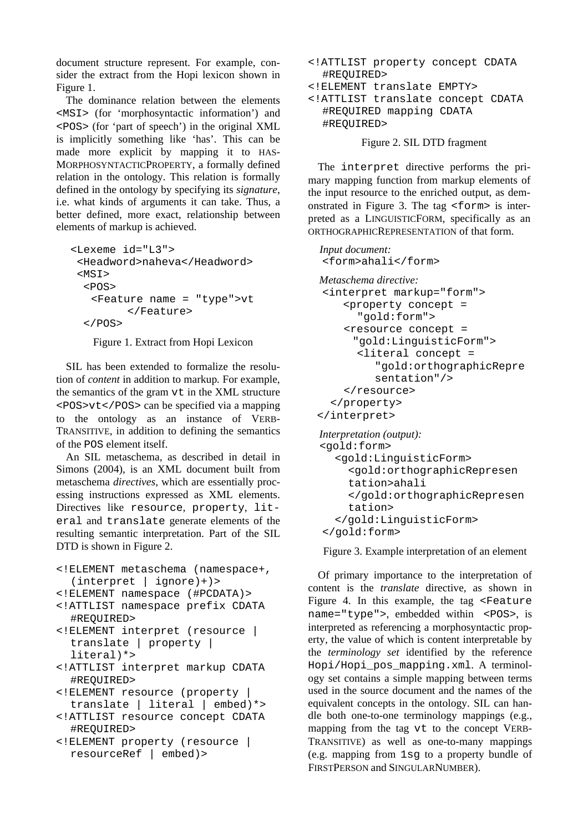document structure represent. For example, consider the extract from the Hopi lexicon shown in [Figure 1.](#page-4-0)

The dominance relation between the elements <MSI> (for 'morphosyntactic information') and <POS> (for 'part of speech') in the original XML is implicitly something like 'has'. This can be made more explicit by mapping it to HAS-MORPHOSYNTACTICPROPERTY, a formally defined relation in the ontology. This relation is formally defined in the ontology by specifying its *signature*, i.e. what kinds of arguments it can take. Thus, a better defined, more exact, relationship between elements of markup is achieved.

```
<Lexeme id="L3"> 
  <Headword>naheva</Headword> 
 <MSI><POS><Feature name = "type">vt 
         </Feature> 
  </POS>
```
<span id="page-4-0"></span>Figure 1. Extract from Hopi Lexicon

SIL has been extended to formalize the resolution of *content* in addition to markup*.* For example, the semantics of the gram vt in the XML structure <POS>vt</POS> can be specified via a mapping to the ontology as an instance of VERB-TRANSITIVE, in addition to defining the semantics of the POS element itself.

An SIL metaschema, as described in detail in Simons (2004), is an XML document built from metaschema *directives*, which are essentially processing instructions expressed as XML elements. Directives like resource, property, literal and translate generate elements of the resulting semantic interpretation. Part of the SIL DTD is shown in [Figure 2.](#page-4-1)

- <!ELEMENT metaschema (namespace+,  $(interpret | ignore)$ +)>
- <!ELEMENT namespace (#PCDATA)>
- <!ATTLIST namespace prefix CDATA #REQUIRED>
- <!ELEMENT interpret (resource | translate | property | literal)\*>
- <!ATTLIST interpret markup CDATA #REQUIRED>
- <!ELEMENT resource (property | translate | literal | embed)\*>
- <!ATTLIST resource concept CDATA #REQUIRED>
- <!ELEMENT property (resource | resourceRef | embed)>
- <!ATTLIST property concept CDATA #REQUIRED>
- <!ELEMENT translate EMPTY>
- <!ATTLIST translate concept CDATA #REQUIRED mapping CDATA #REQUIRED>

<span id="page-4-1"></span>

The interpret directive performs the primary mapping function from markup elements of the input resource to the enriched output, as demonstrated in [Figure 3.](#page-4-2) The tag <form> is interpreted as a LINGUISTICFORM, specifically as an ORTHOGRAPHICREPRESENTATION of that form.

```
Input document: 
<form>ahali</form> 
Metaschema directive: 
<interpret markup="form"> 
    <property concept = 
       "gold:form"> 
    <resource concept = 
      "gold:LinguisticForm"> 
      <literal concept = 
          "gold:orthographicRepre
         sentation"/> 
    </resource> 
  </property> 
</interpret> 
Interpretation (output): 
<gold:form> 
   <gold:LinguisticForm> 
     <gold:orthographicRepresen
     tation>ahali 
     </gold:orthographicRepresen
```

```
</gold:LinguisticForm> 
</gold:form>
```
tation>

<span id="page-4-2"></span>Figure 3. Example interpretation of an element

Of primary importance to the interpretation of content is the *translate* directive, as shown in [Figure 4.](#page-5-1) In this example, the tag <Feature name="type">, embedded within <POS>, is interpreted as referencing a morphosyntactic property, the value of which is content interpretable by the *terminology set* identified by the reference Hopi/Hopi\_pos\_mapping.xml. A terminology set contains a simple mapping between terms used in the source document and the names of the equivalent concepts in the ontology. SIL can handle both one-to-one terminology mappings (e.g., mapping from the tag vt to the concept VERB-TRANSITIVE) as well as one-to-many mappings (e.g. mapping from 1sg to a property bundle of FIRSTPERSON and SINGULARNUMBER).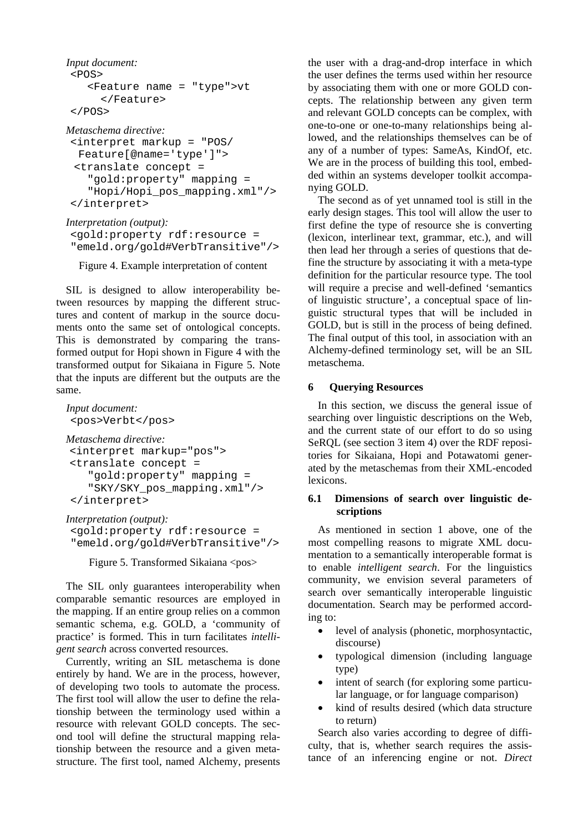```
Input document: 
<POS><Feature name = "type">vt 
      </Feature> 
</POS>
Metaschema directive: 
<interpret markup = "POS/ 
  Feature[@name='type']">
```

```
<translate concept = 
  "gold:property" mapping = 
  "Hopi/Hopi_pos_mapping.xml"/> 
</interpret>
```

```
Interpretation (output): 
<gold:property rdf:resource = 
"emeld.org/gold#VerbTransitive"/>
```
<span id="page-5-1"></span>Figure 4. Example interpretation of content

SIL is designed to allow interoperability between resources by mapping the different structures and content of markup in the source documents onto the same set of ontological concepts. This is demonstrated by comparing the transformed output for Hopi shown in [Figure 4](#page-5-1) with the transformed output for Sikaiana in [Figure 5.](#page-5-2) Note that the inputs are different but the outputs are the same.

```
Input document: 
<pos>Verbt</pos> 
Metaschema directive: 
<interpret markup="pos"> 
<translate concept = 
    "gold:property" mapping = 
    "SKY/SKY_pos_mapping.xml"/> 
</interpret>
```
*Interpretation (output):*  <gold:property rdf:resource = "emeld.org/gold#VerbTransitive"/>

<span id="page-5-2"></span>Figure 5. Transformed Sikaiana <pos>

The SIL only guarantees interoperability when comparable semantic resources are employed in the mapping. If an entire group relies on a common semantic schema, e.g. GOLD, a 'community of practice' is formed. This in turn facilitates *intelligent search* across converted resources.

Currently, writing an SIL metaschema is done entirely by hand. We are in the process, however, of developing two tools to automate the process. The first tool will allow the user to define the relationship between the terminology used within a resource with relevant GOLD concepts. The second tool will define the structural mapping relationship between the resource and a given metastructure. The first tool, named Alchemy, presents the user with a drag-and-drop interface in which the user defines the terms used within her resource by associating them with one or more GOLD concepts. The relationship between any given term and relevant GOLD concepts can be complex, with one-to-one or one-to-many relationships being allowed, and the relationships themselves can be of any of a number of types: SameAs, KindOf, etc. We are in the process of building this tool, embedded within an systems developer toolkit accompanying GOLD.

The second as of yet unnamed tool is still in the early design stages. This tool will allow the user to first define the type of resource she is converting (lexicon, interlinear text, grammar, etc.), and will then lead her through a series of questions that define the structure by associating it with a meta-type definition for the particular resource type. The tool will require a precise and well-defined 'semantics of linguistic structure', a conceptual space of linguistic structural types that will be included in GOLD, but is still in the process of being defined. The final output of this tool, in association with an Alchemy-defined terminology set, will be an SIL metaschema.

# <span id="page-5-0"></span>**6 Querying Resources**

In this section, we discuss the general issue of searching over linguistic descriptions on the Web, and the current state of our effort to do so using SeRQL (see section [3](#page-2-0) item [4\)](#page-2-1) over the RDF repositories for Sikaiana, Hopi and Potawatomi generated by the metaschemas from their XML-encoded lexicons.

### **6.1 Dimensions of search over linguistic descriptions**

As mentioned in section [1](#page-0-0) above, one of the most compelling reasons to migrate XML documentation to a semantically interoperable format is to enable *intelligent search*. For the linguistics community, we envision several parameters of search over semantically interoperable linguistic documentation. Search may be performed according to:

- level of analysis (phonetic, morphosyntactic, discourse)
- typological dimension (including language type)
- intent of search (for exploring some particular language, or for language comparison)
- kind of results desired (which data structure to return)

Search also varies according to degree of difficulty, that is, whether search requires the assistance of an inferencing engine or not. *Direct*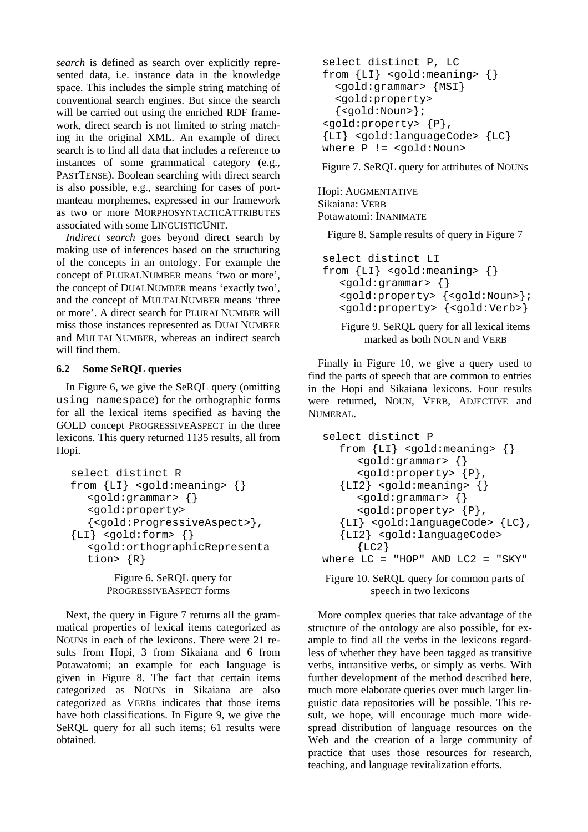*search* is defined as search over explicitly represented data, i.e. instance data in the knowledge space. This includes the simple string matching of conventional search engines. But since the search will be carried out using the enriched RDF framework, direct search is not limited to string matching in the original XML. An example of direct search is to find all data that includes a reference to instances of some grammatical category (e.g., PASTTENSE). Boolean searching with direct search is also possible, e.g., searching for cases of portmanteau morphemes, expressed in our framework as two or more MORPHOSYNTACTICATTRIBUTES associated with some LINGUISTICUNIT.

*Indirect search* goes beyond direct search by making use of inferences based on the structuring of the concepts in an ontology. For example the concept of PLURALNUMBER means 'two or more', the concept of DUALNUMBER means 'exactly two', and the concept of MULTALNUMBER means 'three or more'. A direct search for PLURALNUMBER will miss those instances represented as DUALNUMBER and MULTALNUMBER, whereas an indirect search will find them.

### **6.2 Some SeRQL queries**

In [Figure 6,](#page-6-0) we give the SeRQL query (omitting using namespace) for the orthographic forms for all the lexical items specified as having the GOLD concept PROGRESSIVEASPECT in the three lexicons. This query returned 1135 results, all from Hopi.

```
select distinct R 
from {LI} <gold:meaning> {} 
   <gold:grammar> {} 
   <gold:property> 
   {<gold:ProgressiveAspect>}, 
{LI} <qold:form> { }<gold:orthographicRepresenta
   tion> {R} 
       Figure 6. SeRQL query for
```

```
PROGRESSIVEASPECT forms
```
Next, the query in [Figure 7](#page-6-1) returns all the grammatical properties of lexical items categorized as NOUNs in each of the lexicons. There were 21 results from Hopi, 3 from Sikaiana and 6 from Potawatomi; an example for each language is given in Figure 8. The fact that certain items categorized as NOUNs in Sikaiana are also categorized as VERBs indicates that those items have both classifications. In Figure 9, we give the SeRQL query for all such items; 61 results were obtained.

```
select distinct P, LC 
from \{LI\} < \{qold: \text{meaning} > \{\}<gold:grammar> {MSI} 
  <gold:property> 
  \{ <gold: Noun>\};
<gold:property> {P}, 
{LI} <gold:languageCode> {LC} 
where P != <gold:Noun>
```
<span id="page-6-1"></span>Figure 7. SeRQL query for attributes of NOUNs

Hopi: AUGMENTATIVE Sikaiana: VERB Potawatomi: INANIMATE

Figure 8. Sample results of query in [Figure 7](#page-6-1) 

```
select distinct LI 
from {LI} <gold:meaning> {} 
   <gold:grammar> {} 
   <gold:property> {<gold:Noun>}; 
   <gold:property> {<gold:Verb>} 
   Figure 9. SeRQL query for all lexical items
```
marked as both NOUN and VERB

Finally in [Figure 10,](#page-6-2) we give a query used to find the parts of speech that are common to entries in the Hopi and Sikaiana lexicons. Four results were returned, NOUN, VERB, ADJECTIVE and NUMERAL.

```
select distinct P 
  from {LI} <gold:meaning> {} 
     <gold:grammar> {} 
     <gold:property> {P}, 
   {LI2} <gold:meaning> \{\}<gold:grammar> {} 
     <gold:property> {P}, 
   {LI} <gold:languageCode> {LC}, 
  {LI2} <gold:languageCode> 
     {LC2}where LC = "HOP" AND LC2 = "SKY"
```
<span id="page-6-2"></span>Figure 10. SeRQL query for common parts of speech in two lexicons

More complex queries that take advantage of the structure of the ontology are also possible, for example to find all the verbs in the lexicons regardless of whether they have been tagged as transitive verbs, intransitive verbs, or simply as verbs. With further development of the method described here, much more elaborate queries over much larger linguistic data repositories will be possible. This result, we hope, will encourage much more widespread distribution of language resources on the Web and the creation of a large community of practice that uses those resources for research, teaching, and language revitalization efforts.